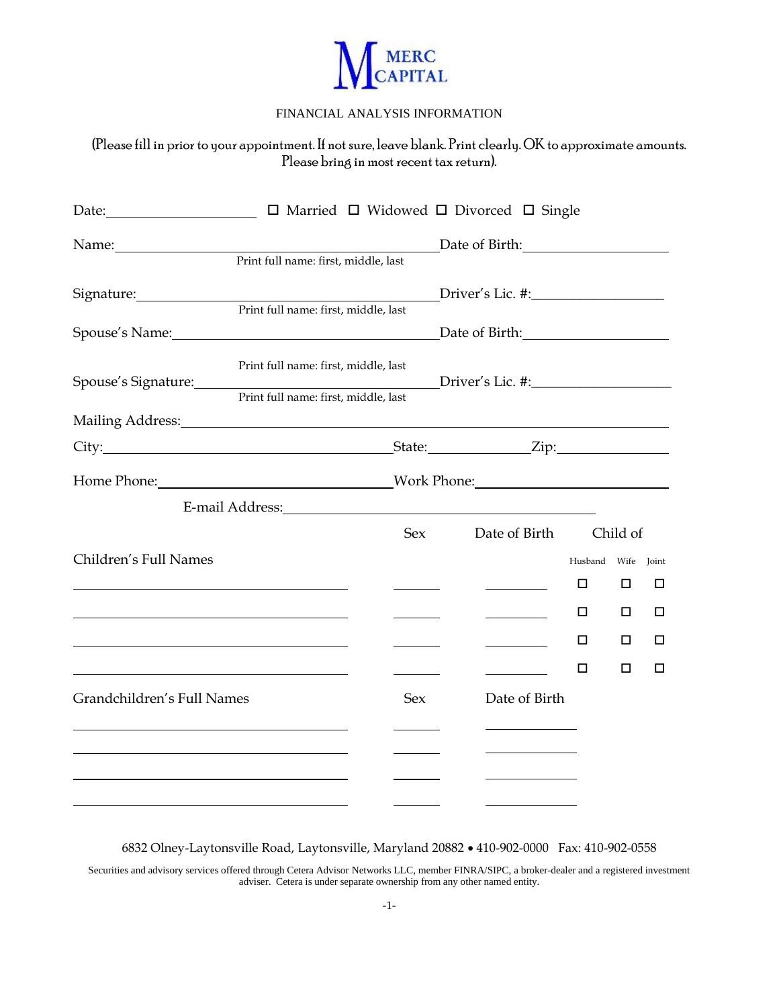

## FINANCIAL ANALYSIS INFORMATION

(Please fill in prior to your appointment. If not sure, leave blank. Print clearly. OK to approximate amounts. Please bring in most recent tax return).

| Date: the contract of the contract of the contract of the contract of the contract of the contract of the contract of the contract of the contract of the contract of the contract of the contract of the contract of the cont |                                                              |            | $\Box$ Married $\Box$ Widowed $\Box$ Divorced $\Box$ Single                                                                                                                                                                    |         |          |       |
|--------------------------------------------------------------------------------------------------------------------------------------------------------------------------------------------------------------------------------|--------------------------------------------------------------|------------|--------------------------------------------------------------------------------------------------------------------------------------------------------------------------------------------------------------------------------|---------|----------|-------|
| Name: Name                                                                                                                                                                                                                     |                                                              |            | Date of Birth: Date of Birth:                                                                                                                                                                                                  |         |          |       |
|                                                                                                                                                                                                                                | Print full name: first, middle, last                         |            |                                                                                                                                                                                                                                |         |          |       |
|                                                                                                                                                                                                                                |                                                              |            | Driver's Lic. #:                                                                                                                                                                                                               |         |          |       |
|                                                                                                                                                                                                                                | Print full name: first, middle, last                         |            |                                                                                                                                                                                                                                |         |          |       |
| Spouse's Name: 1988 Contract Contract Contract Contract Contract Contract Contract Contract Contract Contract Contract Contract Contract Contract Contract Contract Contract Contract Contract Contract Contract Contract Cont |                                                              |            |                                                                                                                                                                                                                                |         |          |       |
|                                                                                                                                                                                                                                | Print full name: first, middle, last                         |            |                                                                                                                                                                                                                                |         |          |       |
|                                                                                                                                                                                                                                | Print full name: first, middle, last                         |            |                                                                                                                                                                                                                                |         |          |       |
| Mailing Address: Mailing Address:                                                                                                                                                                                              |                                                              |            |                                                                                                                                                                                                                                |         |          |       |
|                                                                                                                                                                                                                                |                                                              |            | State: <u>Zip:</u>                                                                                                                                                                                                             |         |          |       |
|                                                                                                                                                                                                                                |                                                              |            | Work Phone: Work Phone:                                                                                                                                                                                                        |         |          |       |
|                                                                                                                                                                                                                                |                                                              |            | E-mail Address: North Contract of the Second Second Second Second Second Second Second Second Second Second Second Second Second Second Second Second Second Second Second Second Second Second Second Second Second Second Se |         |          |       |
|                                                                                                                                                                                                                                |                                                              | Sex        | Date of Birth                                                                                                                                                                                                                  |         | Child of |       |
| Children's Full Names                                                                                                                                                                                                          |                                                              |            |                                                                                                                                                                                                                                | Husband | Wife     | Joint |
|                                                                                                                                                                                                                                |                                                              |            | <u>and the state</u>                                                                                                                                                                                                           |         | □        | □     |
|                                                                                                                                                                                                                                | <u> 1989 - Johann Stein, mars an de Britannich (b. 1989)</u> |            |                                                                                                                                                                                                                                | □       | □        | □     |
|                                                                                                                                                                                                                                |                                                              |            | <u>and the state of the state</u>                                                                                                                                                                                              | □       | □        | □     |
|                                                                                                                                                                                                                                |                                                              |            |                                                                                                                                                                                                                                | □       | □        | □     |
| Grandchildren's Full Names                                                                                                                                                                                                     |                                                              | <b>Sex</b> | Date of Birth                                                                                                                                                                                                                  |         |          |       |
|                                                                                                                                                                                                                                |                                                              |            | <u> 1989 - Johann Barbara, martin basa</u>                                                                                                                                                                                     |         |          |       |
|                                                                                                                                                                                                                                |                                                              |            |                                                                                                                                                                                                                                |         |          |       |
|                                                                                                                                                                                                                                |                                                              |            |                                                                                                                                                                                                                                |         |          |       |
|                                                                                                                                                                                                                                |                                                              |            |                                                                                                                                                                                                                                |         |          |       |

6832 Olney-Laytonsville Road, Laytonsville, Maryland 20882 • 410-902-0000 Fax: 410-902-0558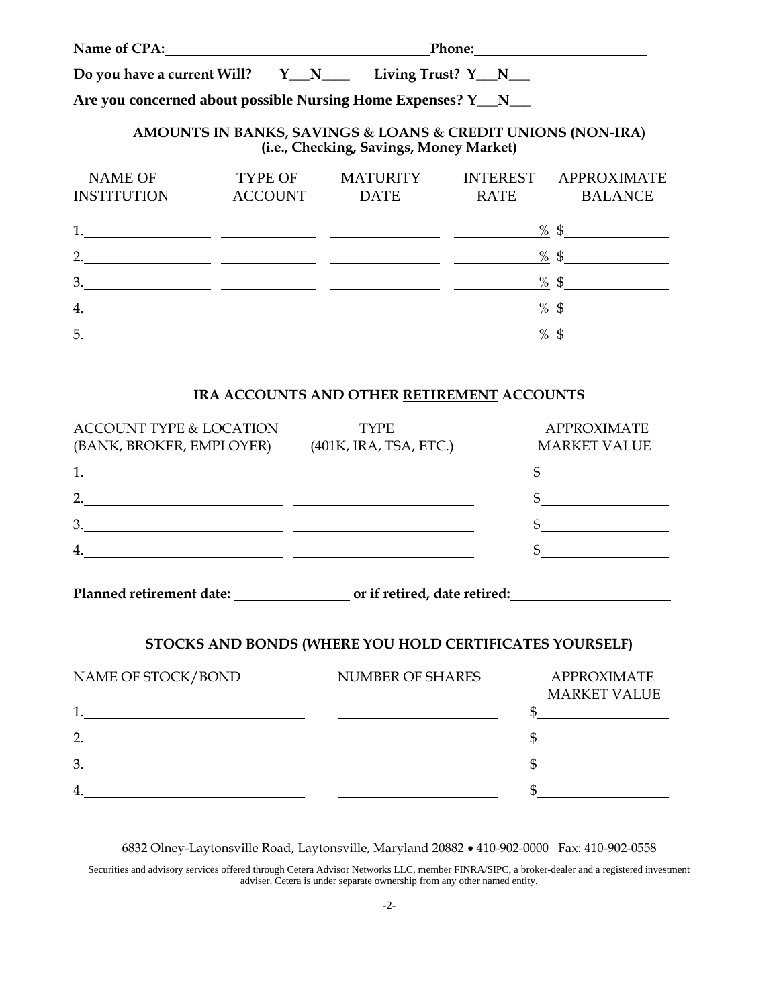| Name of CPA:                                                   | Phone:                    |                                                                                                        |             |                                        |
|----------------------------------------------------------------|---------------------------|--------------------------------------------------------------------------------------------------------|-------------|----------------------------------------|
|                                                                |                           |                                                                                                        |             |                                        |
| Are you concerned about possible Nursing Home Expenses? Y_N___ |                           |                                                                                                        |             |                                        |
|                                                                |                           | AMOUNTS IN BANKS, SAVINGS & LOANS & CREDIT UNIONS (NON-IRA)<br>(i.e., Checking, Savings, Money Market) |             |                                        |
| <b>NAME OF</b><br><b>INSTITUTION</b>                           | TYPE OF<br><b>ACCOUNT</b> | MATURITY<br>DATE                                                                                       | <b>RATE</b> | INTEREST APPROXIMATE<br><b>BALANCE</b> |
|                                                                |                           |                                                                                                        |             | % $\frac{6}{3}$                        |
| 2.                                                             |                           |                                                                                                        |             | % $\frac{6}{5}$                        |
| 3.                                                             |                           | <u> 1990 - Jan James James (f. 1980)</u>                                                               |             | $\frac{\%}{\%}$ \$                     |
| 4.                                                             |                           |                                                                                                        |             | % \$                                   |
| 5.                                                             |                           |                                                                                                        |             | % $\frac{6}{9}$                        |

### **IRA ACCOUNTS AND OTHER RETIREMENT ACCOUNTS**

| <b>ACCOUNT TYPE &amp; LOCATION</b>                                                                                                    | <b>TYPE</b>            | <b>APPROXIMATE</b>  |
|---------------------------------------------------------------------------------------------------------------------------------------|------------------------|---------------------|
| (BANK, BROKER, EMPLOYER)                                                                                                              | (401K, IRA, TSA, ETC.) | <b>MARKET VALUE</b> |
|                                                                                                                                       |                        |                     |
| $\mathcal{D}$<br><u> Andreas Andreas Andreas Andreas Andreas Andreas Andreas Andreas Andreas Andreas Andreas Andreas Andreas Andr</u> |                        |                     |
| 3                                                                                                                                     |                        |                     |
| $\overline{4}$                                                                                                                        |                        |                     |
|                                                                                                                                       |                        |                     |

Planned retirement date: \_\_\_\_\_\_\_\_\_\_\_\_\_\_\_\_\_\_\_\_ or if retired, date retired: \_\_\_\_\_\_\_\_\_\_\_\_\_\_\_\_\_\_\_\_\_\_\_\_\_\_\_\_\_\_\_\_\_\_\_

# **STOCKS AND BONDS (WHERE YOU HOLD CERTIFICATES YOURSELF)**

| NAME OF STOCK/BOND | NUMBER OF SHARES | <b>APPROXIMATE</b>  |
|--------------------|------------------|---------------------|
|                    |                  | <b>MARKET VALUE</b> |
|                    |                  |                     |
| っ                  |                  |                     |
| 3.                 |                  |                     |
| 4                  |                  |                     |

6832 Olney-Laytonsville Road, Laytonsville, Maryland 20882 • 410-902-0000 Fax: 410-902-0558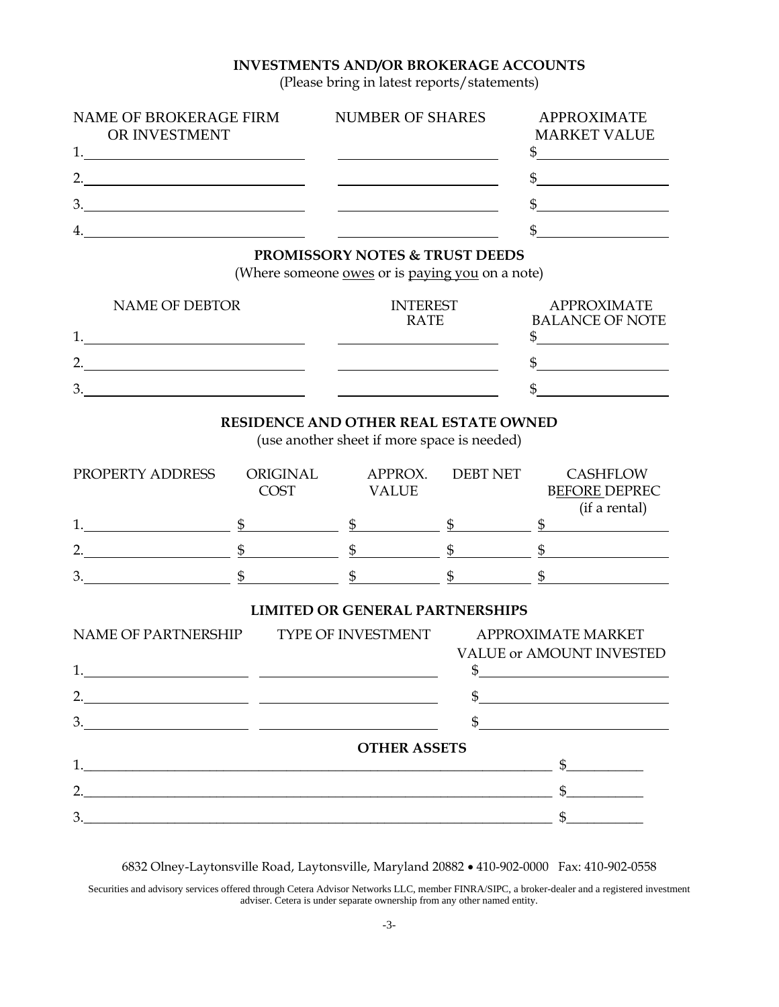## **INVESTMENTS AND/OR BROKERAGE ACCOUNTS**

(Please bring in latest reports/statements)

| NAME OF BROKERAGE FIRM | <b>NUMBER OF SHARES</b> | <b>APPROXIMATE</b>  |
|------------------------|-------------------------|---------------------|
| OR INVESTMENT          |                         | <b>MARKET VALUE</b> |
|                        |                         |                     |
| ∍                      |                         |                     |
| 3.                     |                         |                     |
| 4.                     |                         |                     |

#### **PROMISSORY NOTES & TRUST DEEDS**

(Where someone <u>owes</u> or is paying you on a note)

| <b>NAME OF DEBTOR</b> | <b>INTEREST</b><br><b>RATE</b> | <b>APPROXIMATE</b><br><b>BALANCE OF NOTE</b> |
|-----------------------|--------------------------------|----------------------------------------------|
|                       |                                |                                              |
| ∩                     |                                |                                              |
| 3.                    |                                |                                              |

## **RESIDENCE AND OTHER REAL ESTATE OWNED**

(use another sheet if more space is needed)

| PROPERTY ADDRESS | ORIGINAL<br><b>COST</b> | APPROX.<br><b>VALUE</b> | <b>DEBT NET</b> | <b>CASHFLOW</b><br><b>BEFORE DEPREC</b> |
|------------------|-------------------------|-------------------------|-----------------|-----------------------------------------|
|                  |                         |                         |                 | (if a rental)                           |
|                  |                         |                         |                 |                                         |
| ∍                |                         |                         |                 |                                         |
| 3.               |                         |                         |                 |                                         |

#### **LIMITED OR GENERAL PARTNERSHIPS**

| NAME OF PARTNERSHIP |                                                 | TYPE OF INVESTMENT APPROXIMATE MARKET            |  |  |
|---------------------|-------------------------------------------------|--------------------------------------------------|--|--|
|                     |                                                 | <b>VALUE or AMOUNT INVESTED</b><br>$\frac{1}{2}$ |  |  |
| 2.                  |                                                 |                                                  |  |  |
| 3.                  | <u> 1990 - Johann John Stein, mars et al. (</u> |                                                  |  |  |
|                     | <b>OTHER ASSETS</b>                             |                                                  |  |  |
|                     |                                                 | $\mathbb{S}$                                     |  |  |
|                     |                                                 |                                                  |  |  |
| 3.                  |                                                 |                                                  |  |  |

6832 Olney-Laytonsville Road, Laytonsville, Maryland 20882 • 410-902-0000 Fax: 410-902-0558